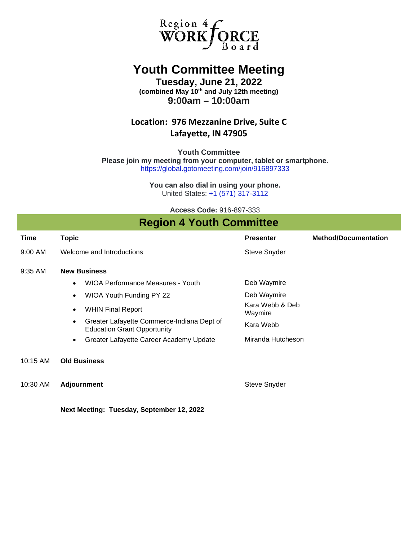

## **Youth Committee Meeting**

**Tuesday, June 21, 2022 (combined May 10th and July 12th meeting) 9:00am – 10:00am**

### **Location: 976 Mezzanine Drive, Suite C Lafayette, IN 47905**

**Youth Committee Please join my meeting from your computer, tablet or smartphone.** <https://global.gotomeeting.com/join/916897333>

> **You can also dial in using your phone.** United States: [+1 \(571\) 317-3112](tel:+15713173112,,916897333)

> > **Access Code:** 916-897-333

### **Region 4 Youth Committee**

| Time       | <b>Topic</b>                                                                     | <b>Presenter</b>           | <b>Method/Documentation</b> |  |  |  |  |  |
|------------|----------------------------------------------------------------------------------|----------------------------|-----------------------------|--|--|--|--|--|
| $9:00$ AM  | Welcome and Introductions                                                        | Steve Snyder               |                             |  |  |  |  |  |
| 9:35 AM    | <b>New Business</b>                                                              |                            |                             |  |  |  |  |  |
|            | <b>WIOA Performance Measures - Youth</b>                                         | Deb Waymire                |                             |  |  |  |  |  |
|            | WIOA Youth Funding PY 22                                                         | Deb Waymire                |                             |  |  |  |  |  |
|            | <b>WHIN Final Report</b><br>$\bullet$                                            | Kara Webb & Deb<br>Waymire |                             |  |  |  |  |  |
|            | Greater Lafayette Commerce-Indiana Dept of<br><b>Education Grant Opportunity</b> | Kara Webb                  |                             |  |  |  |  |  |
|            | Greater Lafayette Career Academy Update<br>$\bullet$                             | Miranda Hutcheson          |                             |  |  |  |  |  |
| $10:15$ AM | <b>Old Business</b>                                                              |                            |                             |  |  |  |  |  |
| 10:30 AM   | <b>Adjournment</b>                                                               | <b>Steve Snyder</b>        |                             |  |  |  |  |  |

**Next Meeting: Tuesday, September 12, 2022**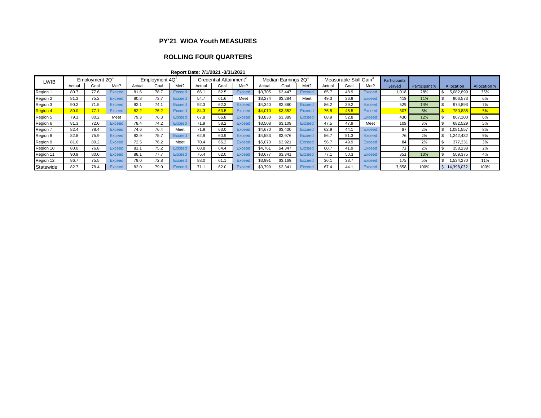#### **PY'21 WIOA Youth MEASURES**

#### **ROLLING FOUR QUARTERS**

**Report Date: 7/1/2021 -3/31/2021**

| Employment 2Q<br>LWIB |        | Employment $4Q^2$ |        |        | Credential Attainment <sup>2</sup> |               |        | Median Earnings 2Q |               |         | Measurable Skill Gain <sup>3</sup> |               |        | Participants |               |        |               |                   |                     |
|-----------------------|--------|-------------------|--------|--------|------------------------------------|---------------|--------|--------------------|---------------|---------|------------------------------------|---------------|--------|--------------|---------------|--------|---------------|-------------------|---------------------|
|                       | Actual | Goal              | Met?   | Actual | Goal                               | Met?          | Actual | Goal               | Met?          | Actual  | Goa                                | Met?          | Actual | Goal         | Met?          | Served | Participant % | <b>Allocation</b> | <b>Allocation %</b> |
| Region 1              | 80.7   | 77.6              | Excee  | 81.6   | 78.7                               | <b>Exceed</b> | 66.1   | 62.5               | <b>Exceed</b> | \$3,705 | \$3,447                            | <b>Exceed</b> | 65.7   | 48.9         | <b>Exceed</b> | 1,018  | 28%           | 5,082,899         | 35%                 |
| Region 2              | 81.3   | 75.2              | Exceed | 80.8   | 73.7                               | <b>Exceed</b> | 54.7   | 61.6               | Meet          | \$3,274 | \$3,284                            | Meet          | 49.3   | 36.9         | <b>Exceed</b> | 419    | 11%           | 906,573           | 6%                  |
| Region 3              | 90.2   | 71.5              | Excee  | 92.1   | 74.1                               | <b>Exceed</b> | 92.3   | 62.3               | <b>Exceed</b> | \$4.340 | \$2,880                            | <b>Exceed</b> | 86.2   | 39.2         | <b>Exceed</b> | 529    | 14%           | 974.893           | 7%                  |
| <b>Region 4</b>       | 80.0   | 77.1              | Exceed | 82.2   | 76.2                               | <b>Exceed</b> | 84.3   | 63.5               | <b>Exceed</b> | \$4,010 | \$3,352                            | <b>Exceed</b> | 76.5   | 45.5         | <b>Exceed</b> | 307    | 8%            | 780,835           | 5%                  |
| Region 5              | 79.1   | 80.2              | Meet   | 79.3   | 76.3                               | <b>Exceed</b> | 67.8   | 66.8               | <b>Exceed</b> | \$3,830 | \$3,389                            | <b>Exceed</b> | 68.9   | 52.8         | Exceed        | 430    | 12%           | 867,100           | 6%                  |
| Region 6              | 81.3   | 72.0              | Exceed | 78.4   | 74.2                               | <b>Exceed</b> | 71.9   | 58.2               | <b>Exceed</b> | \$3,508 | \$3,109                            | Exceed        | 47.5   | 47.9         | Meet          | 109    | 3%            | 682.529           | 5%                  |
| Region 7              | 82.4   | 78.4              | Exceed | 74.6   | 76.4                               | Meet          | 71.9   | 63.0               | <b>Exceed</b> | \$4,670 | \$3,400                            | <b>Exceed</b> | 62.9   | 44.1         | Exceed        | 87     | 2%            | 1,081,557         | 8%                  |
| Region 8              | 82.8   | 75.9              | Exceed | 82.9   | 75.7                               | <b>Exceed</b> | 62.9   | 60.9               | <b>Exceed</b> | \$4,583 | \$3,976                            | <b>Exceed</b> | 56.7   | 51.3         | Exceed        | 76     | 2%            | .242,432          | 9%                  |
| Region 9              | 81.6   | 80.2              | Exceed | 72.5   | 76.2                               | Meet          | 70.4   | 66.2               | <b>Exceed</b> | \$5,073 | \$3,921                            | <b>Exceed</b> | 56.7   | 49.9         | <b>Exceed</b> | 84     | 2%            | 377.331           | 3%                  |
| Region 10             | 80.0   | 76.8              | Exceed | 81.1   | 75.2                               | <b>Exceed</b> | 68.8   | 64.4               | <b>Exceed</b> | \$4.761 | \$4,347                            | Exceed        | 60.7   | 41.9         | <b>Exceed</b> | 72     | 2%            | 358,238           | 2%                  |
| Region 11             | 90.9   | 80.0              | Exceed | 88.1   | 77.7                               | <b>Exceed</b> | 75.4   | 62.0               | <b>Exceed</b> | \$3,677 | \$3,341                            | <b>Exceed</b> | 77.1   | 50.3         | <b>Exceed</b> | 352    | 10%           | 509,375           | 4%                  |
| Region 12             | 86.7   | 75.5              | Exceed | 79.0   | 72.8                               | <b>Exceed</b> | 88.0   | 61.1               | <b>Exceed</b> | \$3,991 | \$3,169                            | <b>Exceed</b> | 36.1   | 33.7         | Exceed        | 175    | 5%            | .534.270          | 11%                 |
| Statewide             | 82.7   | 78.4              | Excee  | 82.0   | 79.0                               | <b>Exceed</b> |        | 62.0               | Exceed        | \$3,799 | \$3,341                            | <b>Exceed</b> | 67.4   | 44.          | Exceed        | 3,658  | 100%          | 14,398,032        | 100%                |